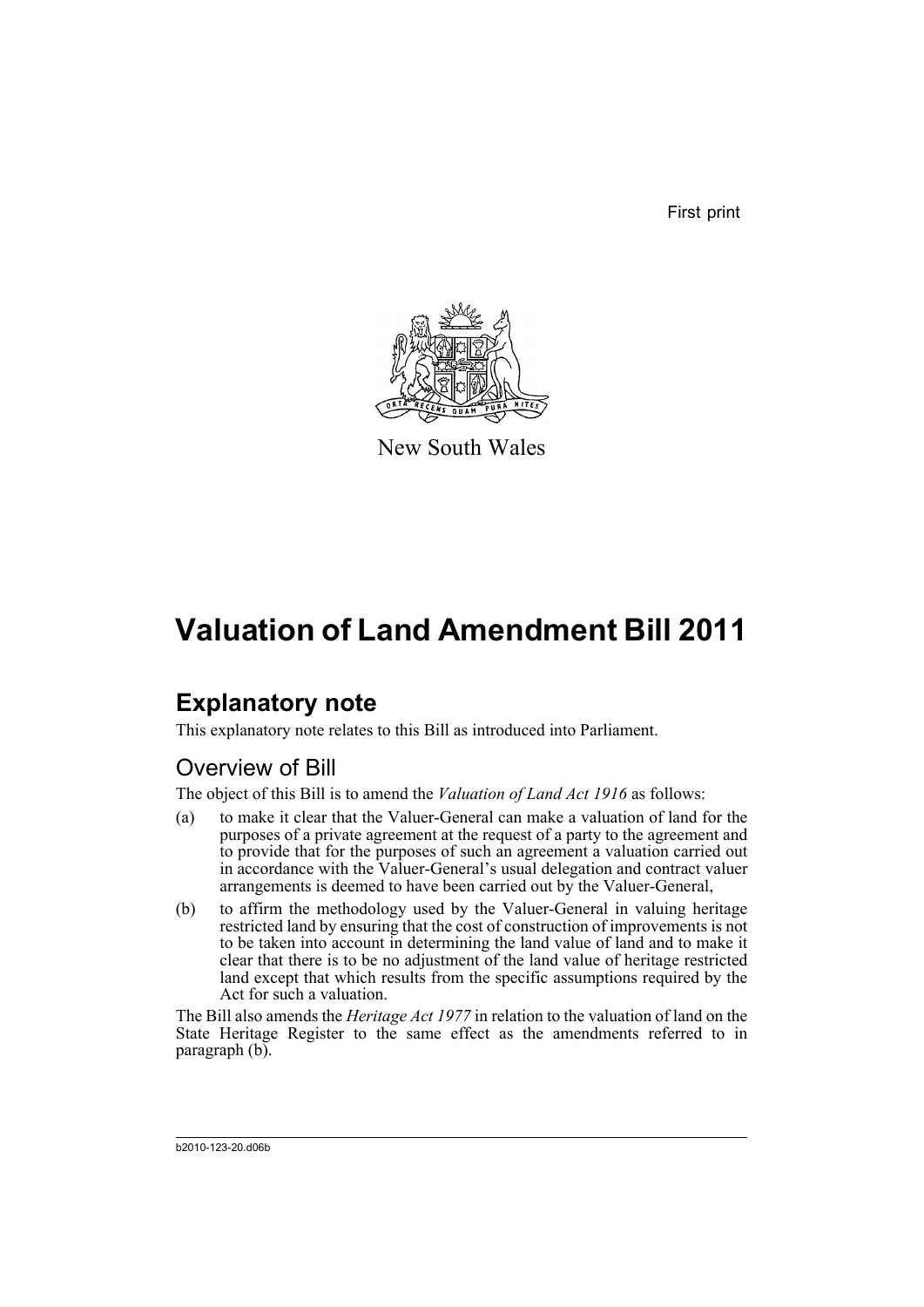First print



New South Wales

# **Valuation of Land Amendment Bill 2011**

## **Explanatory note**

This explanatory note relates to this Bill as introduced into Parliament.

## Overview of Bill

The object of this Bill is to amend the *Valuation of Land Act 1916* as follows:

- (a) to make it clear that the Valuer-General can make a valuation of land for the purposes of a private agreement at the request of a party to the agreement and to provide that for the purposes of such an agreement a valuation carried out in accordance with the Valuer-General's usual delegation and contract valuer arrangements is deemed to have been carried out by the Valuer-General,
- (b) to affirm the methodology used by the Valuer-General in valuing heritage restricted land by ensuring that the cost of construction of improvements is not to be taken into account in determining the land value of land and to make it clear that there is to be no adjustment of the land value of heritage restricted land except that which results from the specific assumptions required by the Act for such a valuation.

The Bill also amends the *Heritage Act 1977* in relation to the valuation of land on the State Heritage Register to the same effect as the amendments referred to in paragraph (b).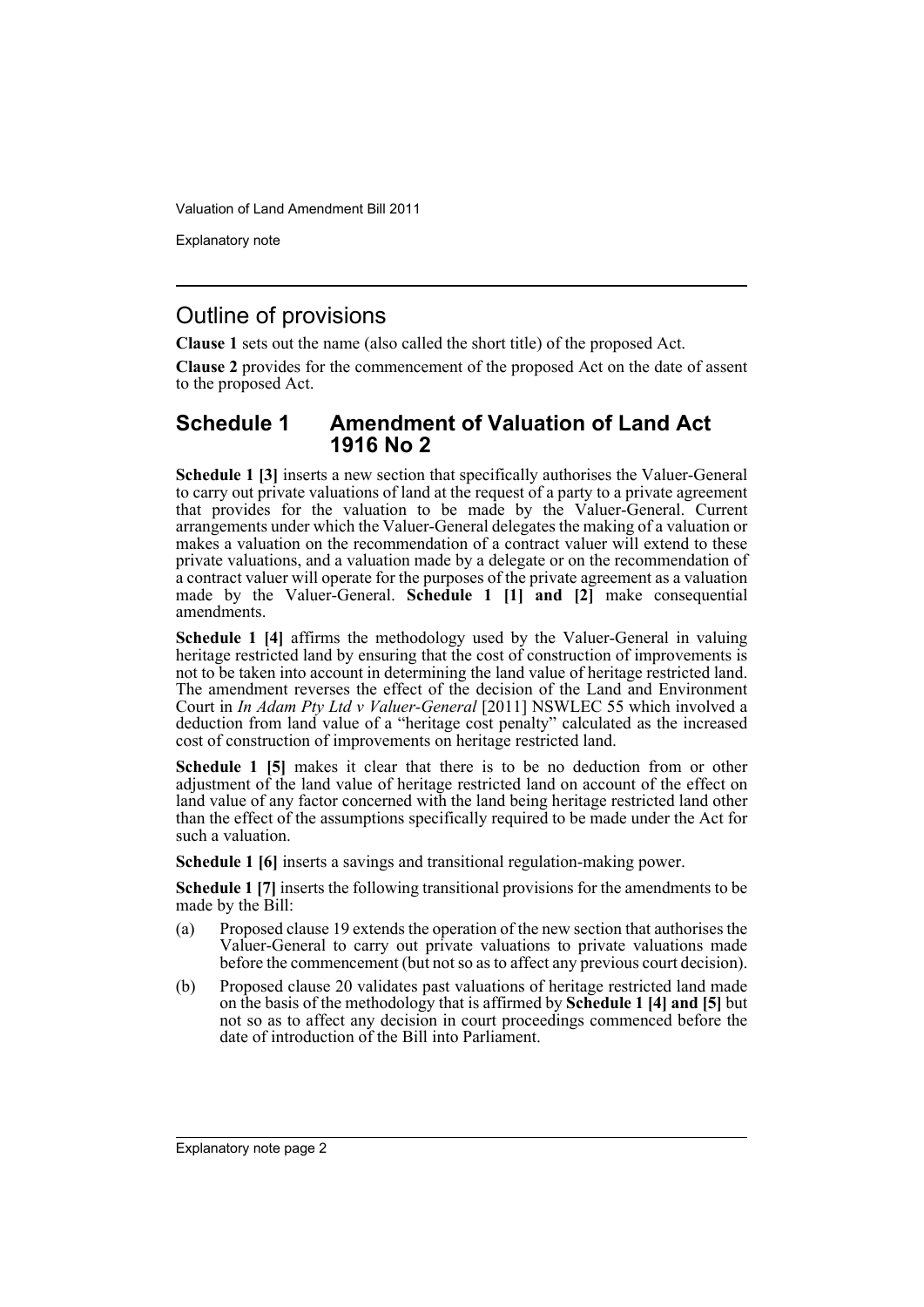Explanatory note

## Outline of provisions

**Clause 1** sets out the name (also called the short title) of the proposed Act.

**Clause 2** provides for the commencement of the proposed Act on the date of assent to the proposed Act.

## **Schedule 1 Amendment of Valuation of Land Act 1916 No 2**

**Schedule 1 [3]** inserts a new section that specifically authorises the Valuer-General to carry out private valuations of land at the request of a party to a private agreement that provides for the valuation to be made by the Valuer-General. Current arrangements under which the Valuer-General delegates the making of a valuation or makes a valuation on the recommendation of a contract valuer will extend to these private valuations, and a valuation made by a delegate or on the recommendation of a contract valuer will operate for the purposes of the private agreement as a valuation made by the Valuer-General. **Schedule 1 [1] and [2]** make consequential amendments.

**Schedule 1 [4]** affirms the methodology used by the Valuer-General in valuing heritage restricted land by ensuring that the cost of construction of improvements is not to be taken into account in determining the land value of heritage restricted land. The amendment reverses the effect of the decision of the Land and Environment Court in *In Adam Pty Ltd v Valuer-General* [2011] NSWLEC 55 which involved a deduction from land value of a "heritage cost penalty" calculated as the increased cost of construction of improvements on heritage restricted land.

**Schedule 1 [5]** makes it clear that there is to be no deduction from or other adjustment of the land value of heritage restricted land on account of the effect on land value of any factor concerned with the land being heritage restricted land other than the effect of the assumptions specifically required to be made under the Act for such a valuation.

**Schedule 1 [6]** inserts a savings and transitional regulation-making power.

**Schedule 1 [7]** inserts the following transitional provisions for the amendments to be made by the Bill:

- (a) Proposed clause 19 extends the operation of the new section that authorises the Valuer-General to carry out private valuations to private valuations made before the commencement (but not so as to affect any previous court decision).
- (b) Proposed clause 20 validates past valuations of heritage restricted land made on the basis of the methodology that is affirmed by **Schedule 1 [4] and [5]** but not so as to affect any decision in court proceedings commenced before the date of introduction of the Bill into Parliament.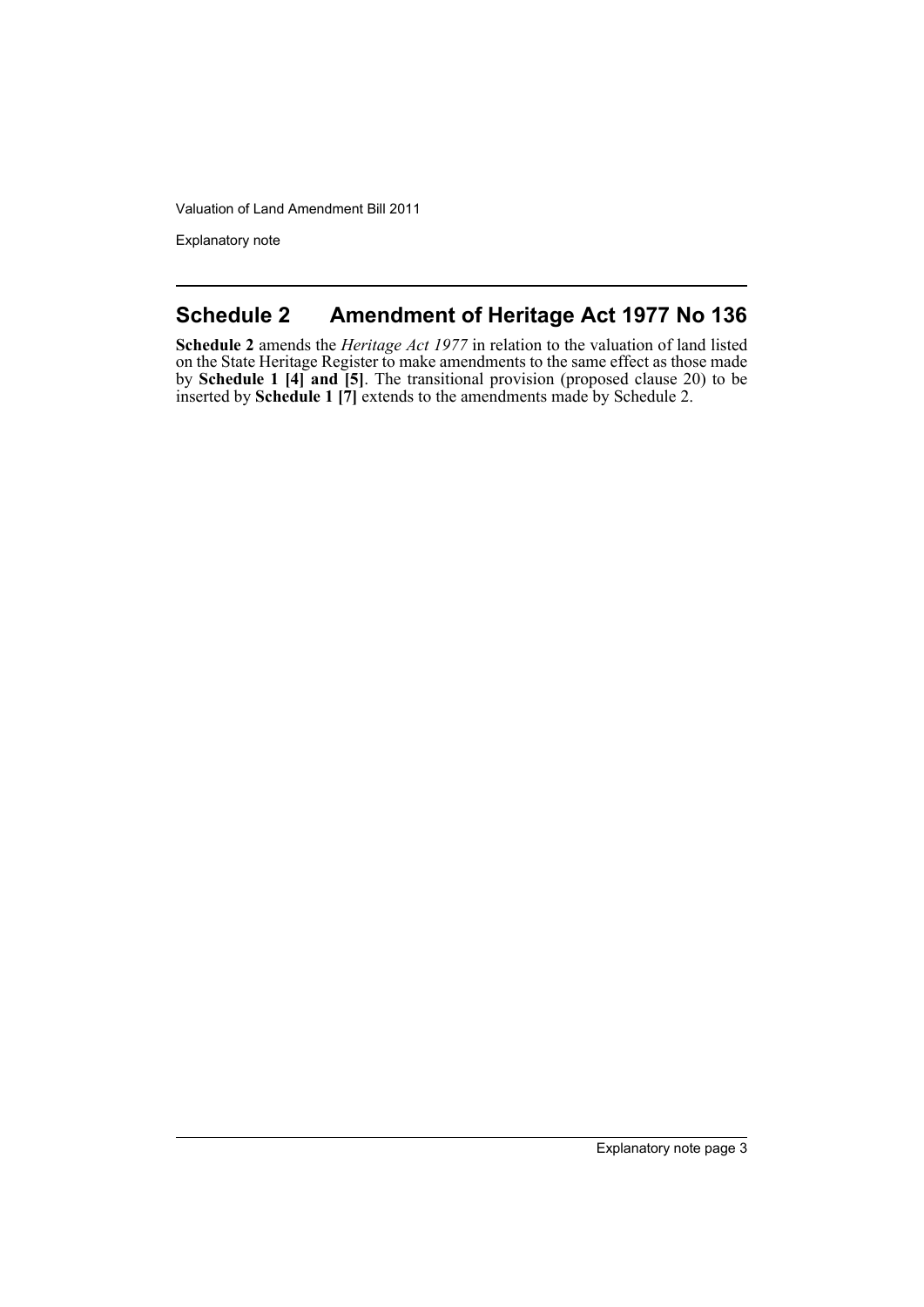Explanatory note

## **Schedule 2 Amendment of Heritage Act 1977 No 136**

**Schedule 2** amends the *Heritage Act 1977* in relation to the valuation of land listed on the State Heritage Register to make amendments to the same effect as those made by **Schedule 1 [4] and [5]**. The transitional provision (proposed clause 20) to be inserted by **Schedule 1 [7]** extends to the amendments made by Schedule 2.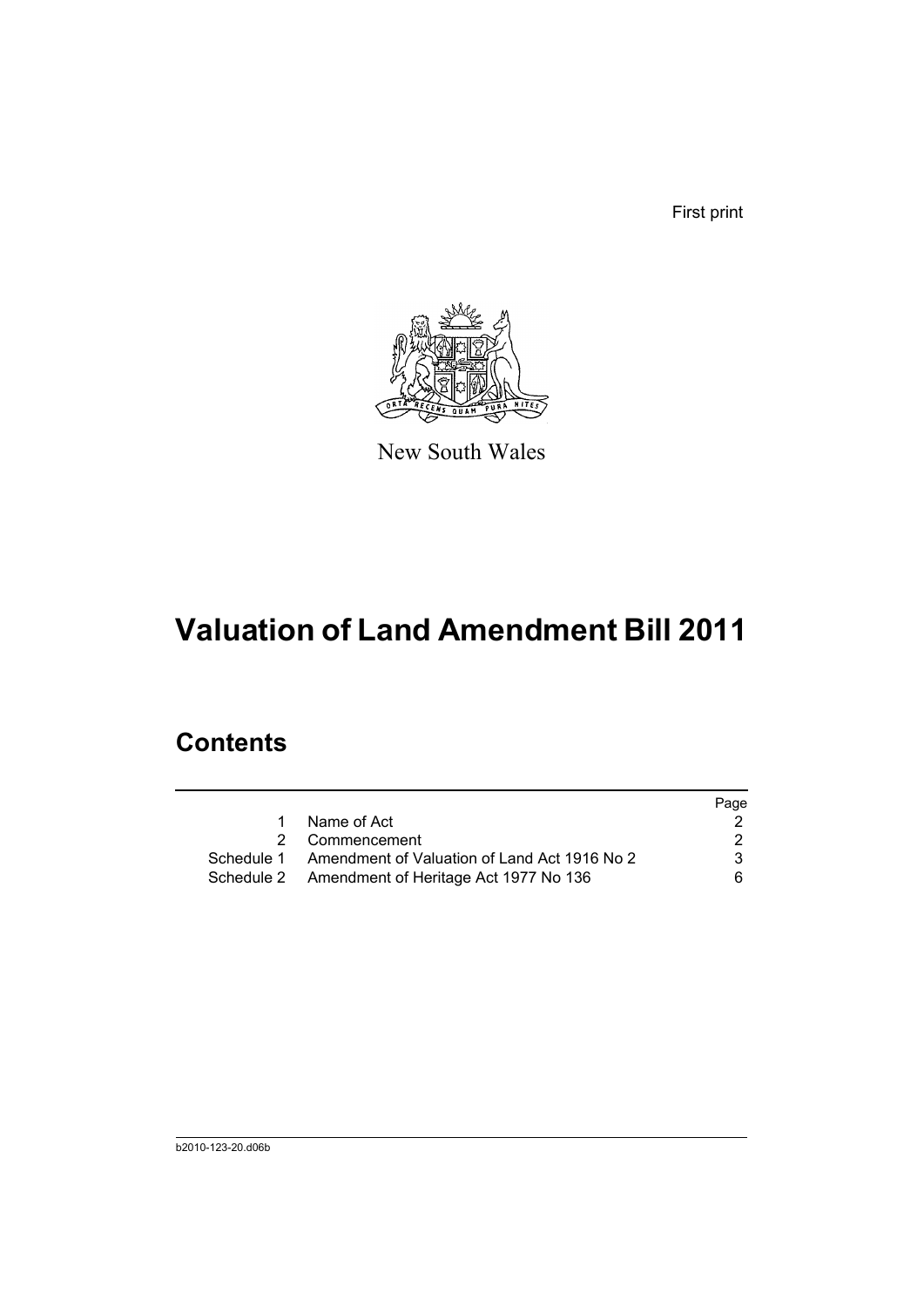First print



New South Wales

# **Valuation of Land Amendment Bill 2011**

## **Contents**

|             |                                                         | Page |
|-------------|---------------------------------------------------------|------|
| $\mathbf 1$ | Name of Act                                             |      |
|             | 2 Commencement                                          | 2    |
|             | Schedule 1 Amendment of Valuation of Land Act 1916 No 2 | 3    |
|             | Schedule 2 Amendment of Heritage Act 1977 No 136        | 6.   |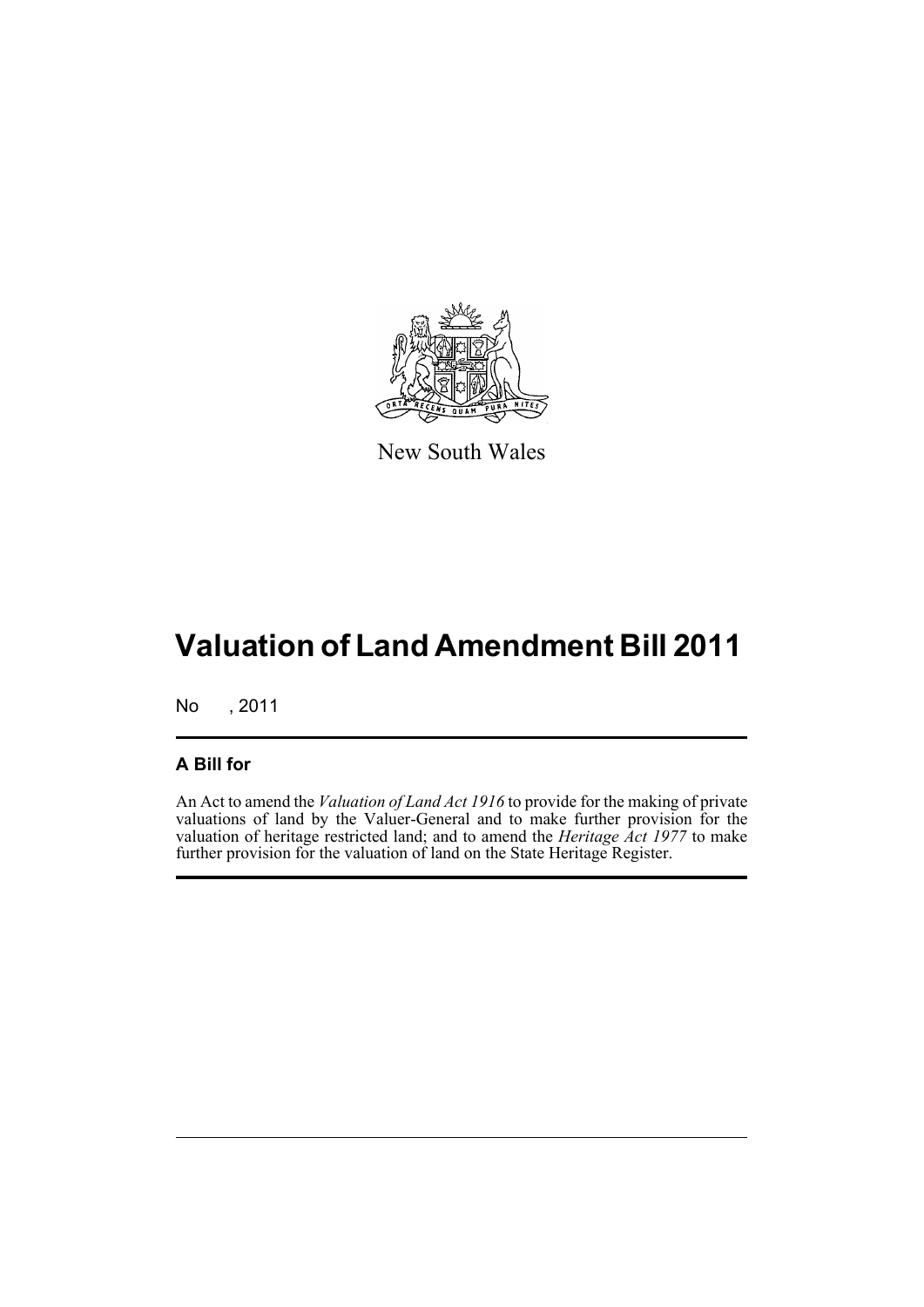

New South Wales

# **Valuation of Land Amendment Bill 2011**

No , 2011

## **A Bill for**

An Act to amend the *Valuation of Land Act 1916* to provide for the making of private valuations of land by the Valuer-General and to make further provision for the valuation of heritage restricted land; and to amend the *Heritage Act 1977* to make further provision for the valuation of land on the State Heritage Register.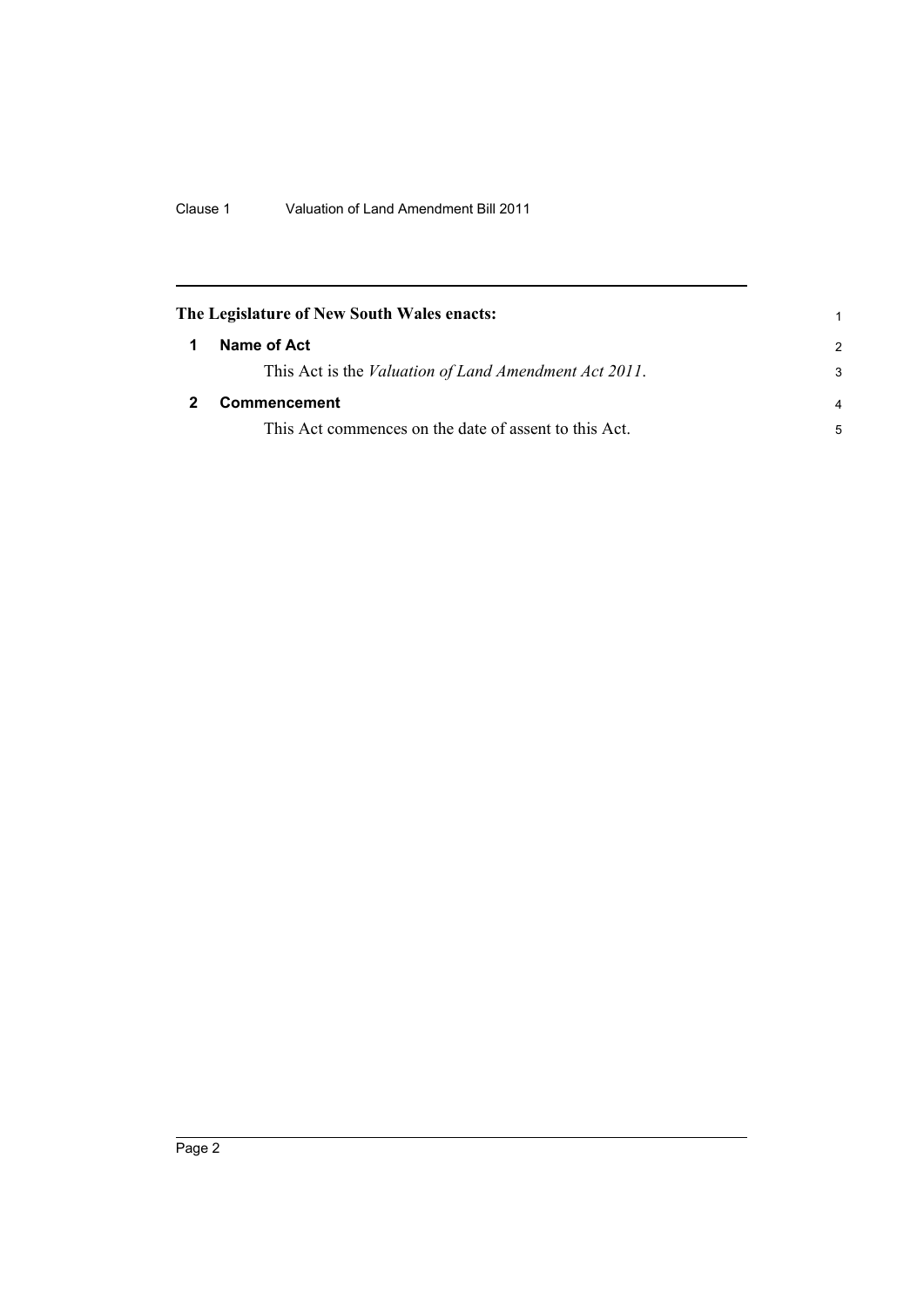<span id="page-7-1"></span><span id="page-7-0"></span>

|   | The Legislature of New South Wales enacts:                    |               |
|---|---------------------------------------------------------------|---------------|
| 1 | Name of Act                                                   | $\mathcal{P}$ |
|   | This Act is the <i>Valuation of Land Amendment Act 2011</i> . | 3             |
|   | <b>Commencement</b>                                           |               |
|   | This Act commences on the date of assent to this Act.         | 5             |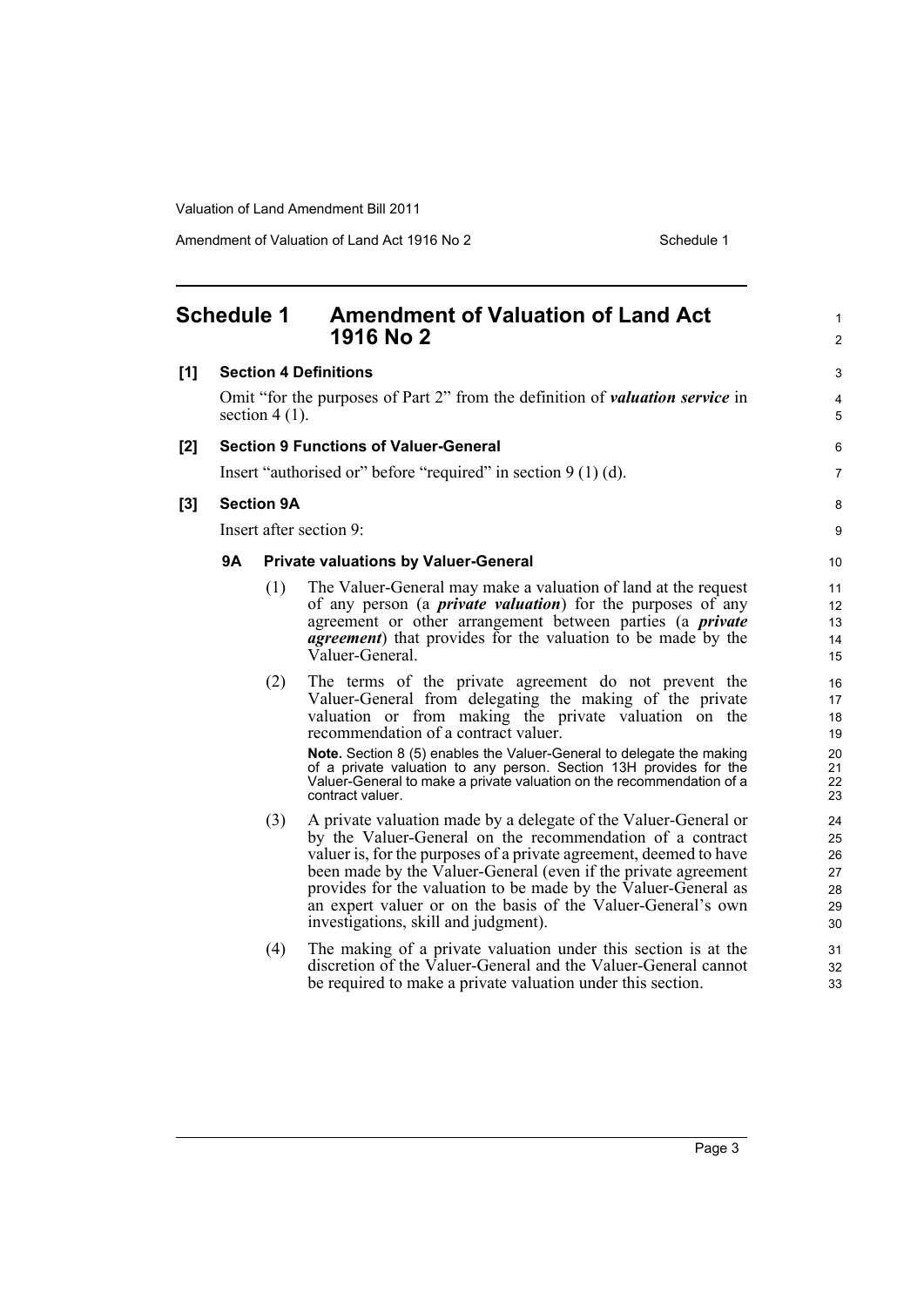Amendment of Valuation of Land Act 1916 No 2 Schedule 1

<span id="page-8-0"></span>

|       | <b>Schedule 1</b>                                               |                   | <b>Amendment of Valuation of Land Act</b><br>1916 No 2                                                                                                                                                                                                                                                                                                                                                                                                         | 1<br>$\overline{2}$                          |
|-------|-----------------------------------------------------------------|-------------------|----------------------------------------------------------------------------------------------------------------------------------------------------------------------------------------------------------------------------------------------------------------------------------------------------------------------------------------------------------------------------------------------------------------------------------------------------------------|----------------------------------------------|
| [1]   |                                                                 |                   | <b>Section 4 Definitions</b>                                                                                                                                                                                                                                                                                                                                                                                                                                   | 3                                            |
|       | section $4(1)$ .                                                |                   | Omit "for the purposes of Part 2" from the definition of <i>valuation service</i> in                                                                                                                                                                                                                                                                                                                                                                           | 4<br>5                                       |
| [2]   |                                                                 |                   | <b>Section 9 Functions of Valuer-General</b>                                                                                                                                                                                                                                                                                                                                                                                                                   | 6                                            |
|       | Insert "authorised or" before "required" in section $9(1)(d)$ . |                   |                                                                                                                                                                                                                                                                                                                                                                                                                                                                | 7                                            |
| $[3]$ |                                                                 | <b>Section 9A</b> |                                                                                                                                                                                                                                                                                                                                                                                                                                                                | 8                                            |
|       | Insert after section 9:                                         |                   |                                                                                                                                                                                                                                                                                                                                                                                                                                                                | 9                                            |
|       | <b>9A</b>                                                       |                   | <b>Private valuations by Valuer-General</b>                                                                                                                                                                                                                                                                                                                                                                                                                    | 10                                           |
|       |                                                                 | (1)               | The Valuer-General may make a valuation of land at the request<br>of any person (a <i>private valuation</i> ) for the purposes of any<br>agreement or other arrangement between parties (a <i>private</i><br><i>agreement</i> ) that provides for the valuation to be made by the<br>Valuer-General.                                                                                                                                                           | 11<br>12<br>13<br>14<br>15                   |
|       |                                                                 | (2)               | The terms of the private agreement do not prevent the<br>Valuer-General from delegating the making of the private<br>valuation or from making the private valuation on the<br>recommendation of a contract valuer.<br>Note. Section 8 (5) enables the Valuer-General to delegate the making<br>of a private valuation to any person. Section 13H provides for the<br>Valuer-General to make a private valuation on the recommendation of a<br>contract valuer. | 16<br>17<br>18<br>19<br>20<br>21<br>22<br>23 |
|       |                                                                 | (3)               | A private valuation made by a delegate of the Valuer-General or<br>by the Valuer-General on the recommendation of a contract<br>valuer is, for the purposes of a private agreement, deemed to have<br>been made by the Valuer-General (even if the private agreement<br>provides for the valuation to be made by the Valuer-General as<br>an expert valuer or on the basis of the Valuer-General's own<br>investigations, skill and judgment).                 | 24<br>25<br>26<br>27<br>28<br>29<br>30       |
|       |                                                                 | (4)               | The making of a private valuation under this section is at the<br>discretion of the Valuer-General and the Valuer-General cannot<br>be required to make a private valuation under this section.                                                                                                                                                                                                                                                                | 31<br>32<br>33                               |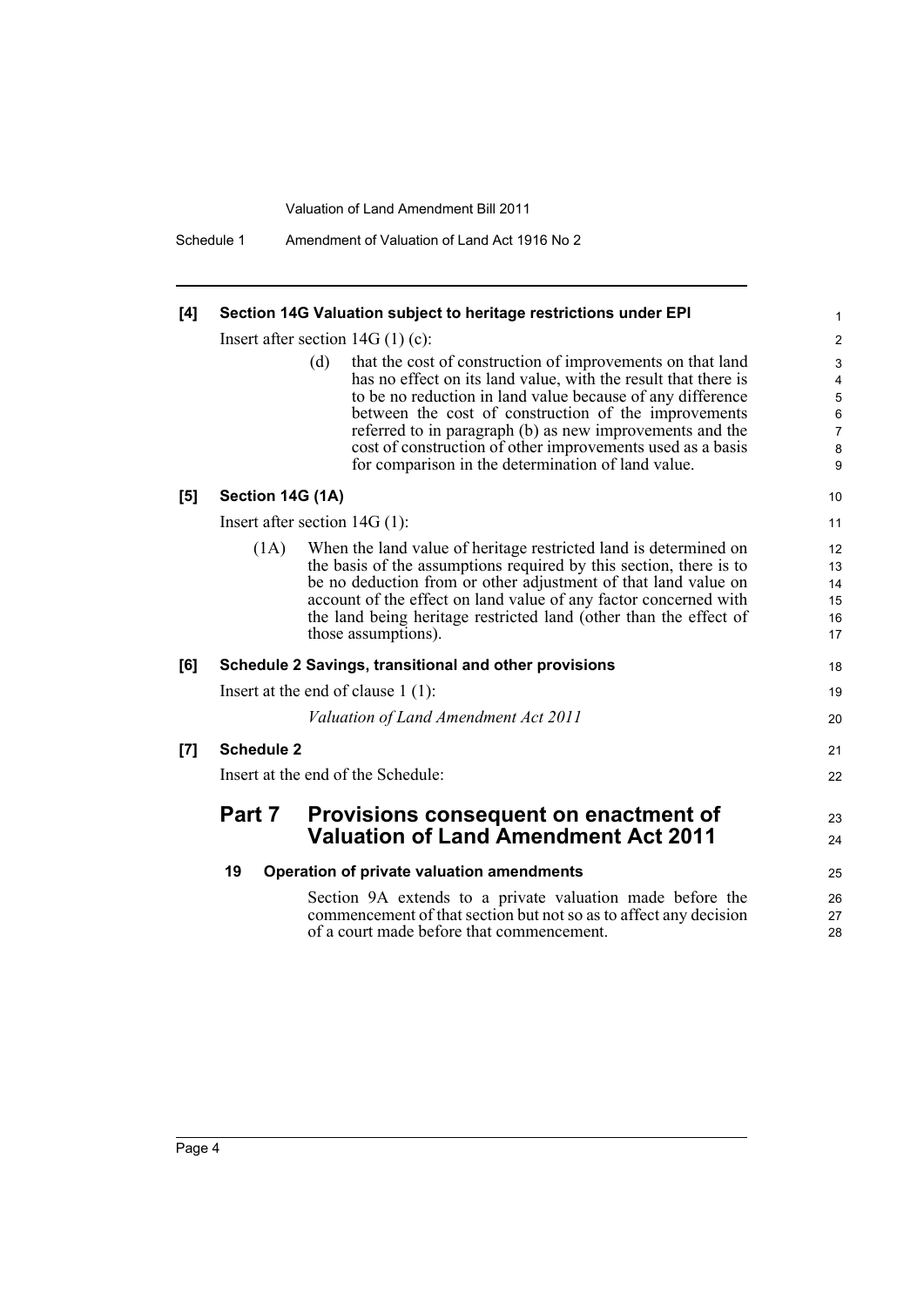Schedule 1 Amendment of Valuation of Land Act 1916 No 2

| [4] |                                    | Section 14G Valuation subject to heritage restrictions under EPI                                                                                                                                                                                                                                                                                                                                                                          | 1                                |
|-----|------------------------------------|-------------------------------------------------------------------------------------------------------------------------------------------------------------------------------------------------------------------------------------------------------------------------------------------------------------------------------------------------------------------------------------------------------------------------------------------|----------------------------------|
|     | Insert after section $14G(1)(c)$ : |                                                                                                                                                                                                                                                                                                                                                                                                                                           |                                  |
|     |                                    | (d)<br>that the cost of construction of improvements on that land<br>has no effect on its land value, with the result that there is<br>to be no reduction in land value because of any difference<br>between the cost of construction of the improvements<br>referred to in paragraph (b) as new improvements and the<br>cost of construction of other improvements used as a basis<br>for comparison in the determination of land value. | 3<br>4<br>5<br>6<br>7<br>8<br>9  |
| [5] | Section 14G (1A)                   |                                                                                                                                                                                                                                                                                                                                                                                                                                           | 10                               |
|     |                                    | Insert after section $14G(1)$ :                                                                                                                                                                                                                                                                                                                                                                                                           | 11                               |
|     | (1A)                               | When the land value of heritage restricted land is determined on<br>the basis of the assumptions required by this section, there is to<br>be no deduction from or other adjustment of that land value on<br>account of the effect on land value of any factor concerned with<br>the land being heritage restricted land (other than the effect of<br>those assumptions).                                                                  | 12<br>13<br>14<br>15<br>16<br>17 |
| [6] |                                    | Schedule 2 Savings, transitional and other provisions                                                                                                                                                                                                                                                                                                                                                                                     | 18                               |
|     |                                    | Insert at the end of clause $1(1)$ :                                                                                                                                                                                                                                                                                                                                                                                                      | 19                               |
|     |                                    | Valuation of Land Amendment Act 2011                                                                                                                                                                                                                                                                                                                                                                                                      | 20                               |
| [7] | <b>Schedule 2</b>                  |                                                                                                                                                                                                                                                                                                                                                                                                                                           | 21                               |
|     | Insert at the end of the Schedule: |                                                                                                                                                                                                                                                                                                                                                                                                                                           | 22                               |
|     | Part 7                             | Provisions consequent on enactment of                                                                                                                                                                                                                                                                                                                                                                                                     | 23                               |
|     |                                    | <b>Valuation of Land Amendment Act 2011</b>                                                                                                                                                                                                                                                                                                                                                                                               | 24                               |
|     | 19                                 | Operation of private valuation amendments                                                                                                                                                                                                                                                                                                                                                                                                 | 25                               |
|     |                                    | Section 9A extends to a private valuation made before the<br>commencement of that section but not so as to affect any decision<br>of a court made before that commencement.                                                                                                                                                                                                                                                               | 26<br>27<br>28                   |
|     |                                    |                                                                                                                                                                                                                                                                                                                                                                                                                                           |                                  |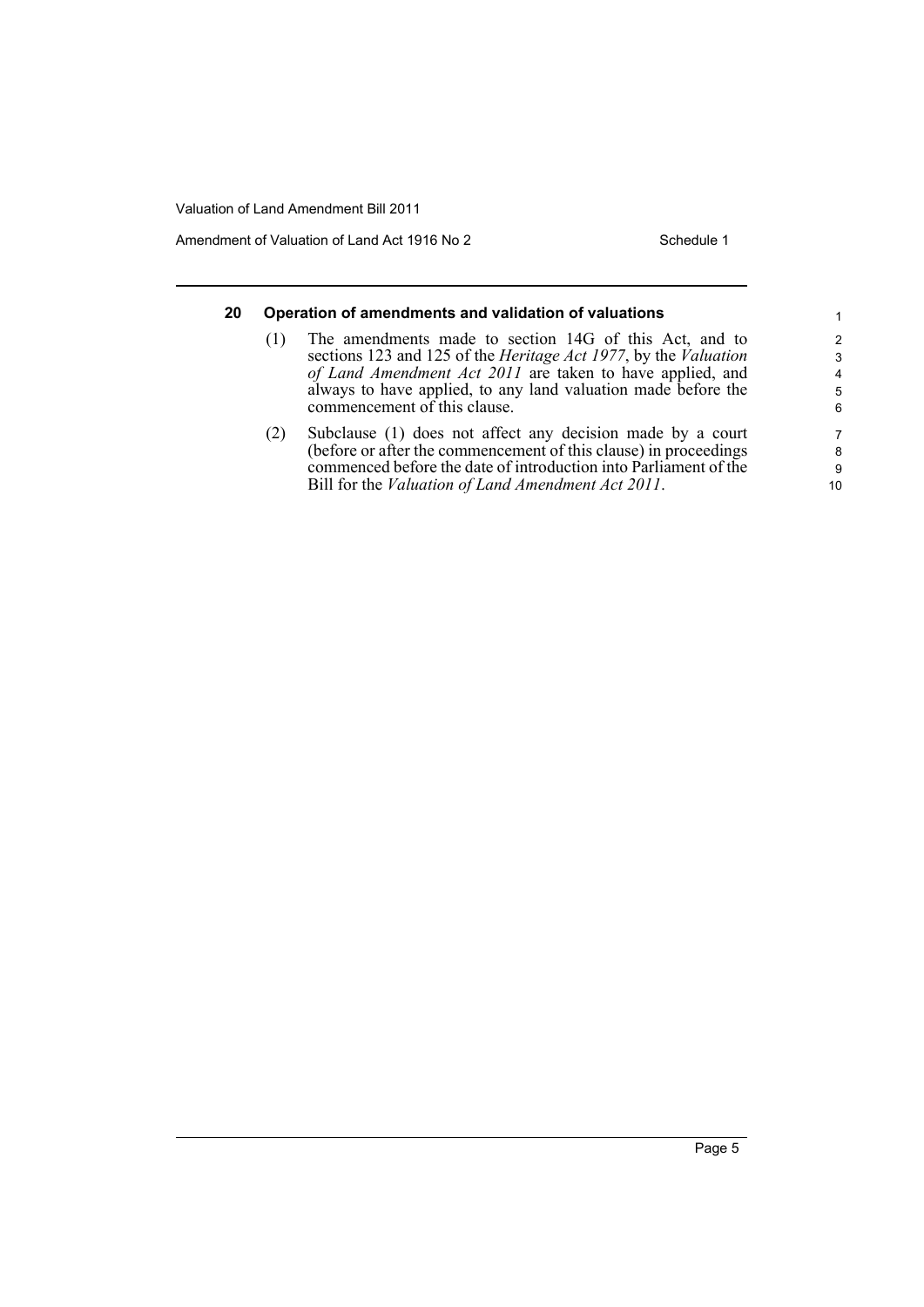Amendment of Valuation of Land Act 1916 No 2 Schedule 1

#### **20 Operation of amendments and validation of valuations** (1) The amendments made to section 14G of this Act, and to sections 123 and 125 of the *Heritage Act 1977*, by the *Valuation of Land Amendment Act 2011* are taken to have applied, and always to have applied, to any land valuation made before the commencement of this clause. (2) Subclause (1) does not affect any decision made by a court (before or after the commencement of this clause) in proceedings commenced before the date of introduction into Parliament of the Bill for the *Valuation of Land Amendment Act 2011*. 1 2 3 4 5 6 7 8 9 10